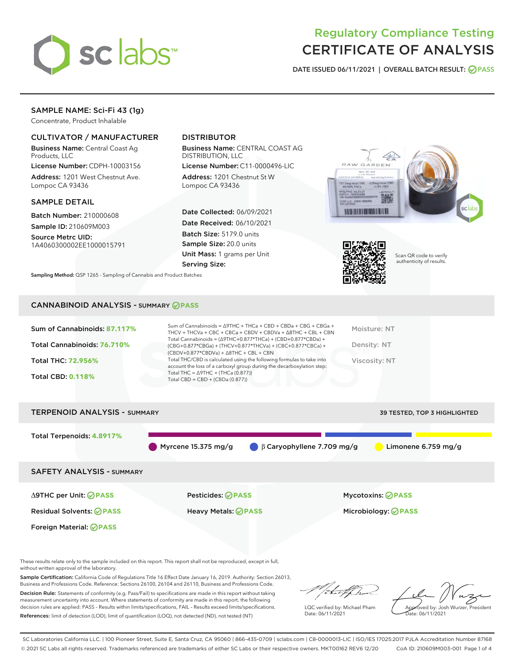

# Regulatory Compliance Testing CERTIFICATE OF ANALYSIS

DATE ISSUED 06/11/2021 | OVERALL BATCH RESULT: @ PASS

# SAMPLE NAME: Sci-Fi 43 (1g)

Concentrate, Product Inhalable

# CULTIVATOR / MANUFACTURER

Business Name: Central Coast Ag Products, LLC

License Number: CDPH-10003156 Address: 1201 West Chestnut Ave. Lompoc CA 93436

#### SAMPLE DETAIL

Batch Number: 210000608 Sample ID: 210609M003

Source Metrc UID: 1A4060300002EE1000015791

# DISTRIBUTOR

Business Name: CENTRAL COAST AG DISTRIBUTION, LLC

License Number: C11-0000496-LIC Address: 1201 Chestnut St W Lompoc CA 93436

Date Collected: 06/09/2021 Date Received: 06/10/2021 Batch Size: 5179.0 units Sample Size: 20.0 units Unit Mass: 1 grams per Unit Serving Size:





Scan QR code to verify authenticity of results.

Sampling Method: QSP 1265 - Sampling of Cannabis and Product Batches

### CANNABINOID ANALYSIS - SUMMARY **PASS**

| Total Cannabinoids = $(\Delta$ 9THC+0.877*THCa) + (CBD+0.877*CBDa) +<br>Total Cannabinoids: 76.710%<br>Density: NT<br>(CBG+0.877*CBGa) + (THCV+0.877*THCVa) + (CBC+0.877*CBCa) +<br>$(CBDV+0.877*CBDVa) + \Delta 8THC + CBL + CBN$<br>Total THC/CBD is calculated using the following formulas to take into<br><b>Total THC: 72.956%</b><br>Viscosity: NT<br>account the loss of a carboxyl group during the decarboxylation step:<br>Total THC = $\triangle$ 9THC + (THCa (0.877))<br><b>Total CBD: 0.118%</b><br>Total CBD = CBD + (CBDa $(0.877)$ ) | Sum of Cannabinoids: 87.117% | Sum of Cannabinoids = $\triangle$ 9THC + THCa + CBD + CBDa + CBG + CBGa +<br>THCV + THCVa + CBC + CBCa + CBDV + CBDVa + $\Delta$ 8THC + CBL + CBN | Moisture: NT |
|--------------------------------------------------------------------------------------------------------------------------------------------------------------------------------------------------------------------------------------------------------------------------------------------------------------------------------------------------------------------------------------------------------------------------------------------------------------------------------------------------------------------------------------------------------|------------------------------|---------------------------------------------------------------------------------------------------------------------------------------------------|--------------|
|                                                                                                                                                                                                                                                                                                                                                                                                                                                                                                                                                        |                              |                                                                                                                                                   |              |
|                                                                                                                                                                                                                                                                                                                                                                                                                                                                                                                                                        |                              |                                                                                                                                                   |              |
|                                                                                                                                                                                                                                                                                                                                                                                                                                                                                                                                                        |                              |                                                                                                                                                   |              |

# TERPENOID ANALYSIS - SUMMARY 39 TESTED, TOP 3 HIGHLIGHTED Total Terpenoids: **4.8917%** Myrcene 15.375 mg/g  $\qquad \beta$  Caryophyllene 7.709 mg/g Limonene 6.759 mg/g SAFETY ANALYSIS - SUMMARY ∆9THC per Unit: **PASS** Pesticides: **PASS** Mycotoxins: **PASS** Residual Solvents: **PASS** Heavy Metals: **PASS** Microbiology: **PASS** Foreign Material: **PASS**

These results relate only to the sample included on this report. This report shall not be reproduced, except in full, without written approval of the laboratory.

Sample Certification: California Code of Regulations Title 16 Effect Date January 16, 2019. Authority: Section 26013, Business and Professions Code. Reference: Sections 26100, 26104 and 26110, Business and Professions Code.

Decision Rule: Statements of conformity (e.g. Pass/Fail) to specifications are made in this report without taking measurement uncertainty into account. Where statements of conformity are made in this report, the following decision rules are applied: PASS – Results within limits/specifications, FAIL – Results exceed limits/specifications. References: limit of detection (LOD), limit of quantification (LOQ), not detected (ND), not tested (NT)

that for

LQC verified by: Michael Pham Date: 06/11/2021

Approved by: Josh Wurzer, President ate: 06/11/2021

SC Laboratories California LLC. | 100 Pioneer Street, Suite E, Santa Cruz, CA 95060 | 866-435-0709 | sclabs.com | C8-0000013-LIC | ISO/IES 17025:2017 PJLA Accreditation Number 87168 © 2021 SC Labs all rights reserved. Trademarks referenced are trademarks of either SC Labs or their respective owners. MKT00162 REV6 12/20 CoA ID: 210609M003-001 Page 1 of 4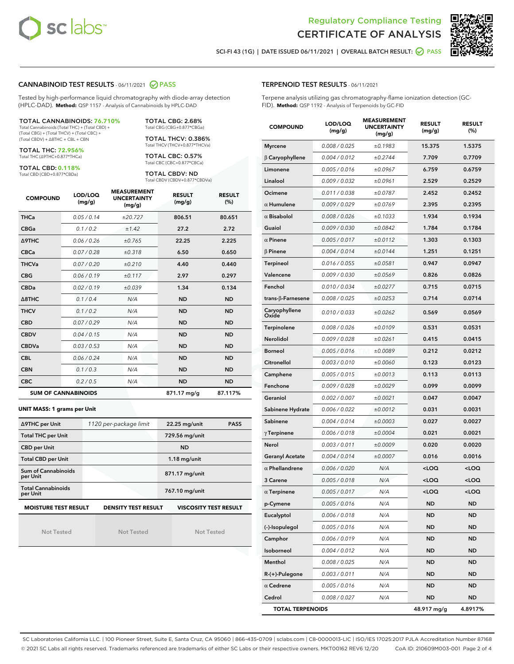



SCI-FI 43 (1G) | DATE ISSUED 06/11/2021 | OVERALL BATCH RESULT: 2 PASS

#### CANNABINOID TEST RESULTS - 06/11/2021 2 PASS

Tested by high-performance liquid chromatography with diode-array detection (HPLC-DAD). **Method:** QSP 1157 - Analysis of Cannabinoids by HPLC-DAD

#### TOTAL CANNABINOIDS: **76.710%** Total Cannabinoids (Total THC) + (Total CBD) +

(Total CBG) + (Total THCV) + (Total CBC) + (Total CBDV) + ∆8THC + CBL + CBN

TOTAL THC: **72.956%** Total THC (∆9THC+0.877\*THCa)

TOTAL CBD: **0.118%**

Total CBD (CBD+0.877\*CBDa)

TOTAL CBG: 2.68% Total CBG (CBG+0.877\*CBGa)

TOTAL THCV: 0.386% Total THCV (THCV+0.877\*THCVa)

TOTAL CBC: 0.57% Total CBC (CBC+0.877\*CBCa)

TOTAL CBDV: ND Total CBDV (CBDV+0.877\*CBDVa)

| <b>COMPOUND</b> | LOD/LOQ<br>(mg/g)          | <b>MEASUREMENT</b><br><b>UNCERTAINTY</b><br>(mg/g) | <b>RESULT</b><br>(mg/g) | <b>RESULT</b><br>(%) |
|-----------------|----------------------------|----------------------------------------------------|-------------------------|----------------------|
| <b>THCa</b>     | 0.05/0.14                  | ±20.727                                            | 806.51                  | 80.651               |
| <b>CBGa</b>     | 0.1/0.2                    | ±1.42                                              | 27.2                    | 2.72                 |
| <b>A9THC</b>    | 0.06 / 0.26                | ±0.765                                             | 22.25                   | 2.225                |
| <b>CBCa</b>     | 0.07/0.28                  | ±0.318                                             | 6.50                    | 0.650                |
| <b>THCVa</b>    | 0.07/0.20                  | ±0.210                                             | 4.40                    | 0.440                |
| <b>CBG</b>      | 0.06/0.19                  | ±0.117                                             | 2.97                    | 0.297                |
| <b>CBDa</b>     | 0.02/0.19                  | ±0.039                                             | 1.34                    | 0.134                |
| A8THC           | 0.1/0.4                    | N/A                                                | <b>ND</b>               | <b>ND</b>            |
| <b>THCV</b>     | 0.1/0.2                    | N/A                                                | <b>ND</b>               | <b>ND</b>            |
| <b>CBD</b>      | 0.07/0.29                  | N/A                                                | <b>ND</b>               | <b>ND</b>            |
| <b>CBDV</b>     | 0.04 / 0.15                | N/A                                                | <b>ND</b>               | <b>ND</b>            |
| <b>CBDVa</b>    | 0.03/0.53                  | N/A                                                | <b>ND</b>               | <b>ND</b>            |
| <b>CBL</b>      | 0.06 / 0.24                | N/A                                                | <b>ND</b>               | <b>ND</b>            |
| <b>CBN</b>      | 0.1/0.3                    | N/A                                                | <b>ND</b>               | <b>ND</b>            |
| <b>CBC</b>      | 0.2 / 0.5                  | N/A                                                | <b>ND</b>               | <b>ND</b>            |
|                 | <b>SUM OF CANNABINOIDS</b> |                                                    | 871.17 mg/g             | 87.117%              |

#### **UNIT MASS: 1 grams per Unit**

| ∆9THC per Unit                                                                            | 1120 per-package limit | 22.25 mg/unit<br><b>PASS</b> |  |  |
|-------------------------------------------------------------------------------------------|------------------------|------------------------------|--|--|
| <b>Total THC per Unit</b>                                                                 |                        | 729.56 mg/unit               |  |  |
| <b>CBD per Unit</b>                                                                       |                        | <b>ND</b>                    |  |  |
| <b>Total CBD per Unit</b>                                                                 |                        | $1.18$ mg/unit               |  |  |
| Sum of Cannabinoids<br>per Unit                                                           |                        | 871.17 mg/unit               |  |  |
| <b>Total Cannabinoids</b><br>per Unit                                                     |                        | 767.10 mg/unit               |  |  |
| <b>MOISTURE TEST RESULT</b><br><b>VISCOSITY TEST RESULT</b><br><b>DENSITY TEST RESULT</b> |                        |                              |  |  |

Not Tested

**MOISTURE TEST RESULT**

Not Tested

Not Tested

Terpene analysis utilizing gas chromatography-flame ionization detection (GC-FID). **Method:** QSP 1192 - Analysis of Terpenoids by GC-FID

| <b>COMPOUND</b>         | LOD/LOQ<br>(mg/g) | <b>MEASUREMENT</b><br><b>UNCERTAINTY</b><br>(mg/g) | <b>RESULT</b><br>(mg/g)                         | <b>RESULT</b><br>$(\%)$ |
|-------------------------|-------------------|----------------------------------------------------|-------------------------------------------------|-------------------------|
| <b>Myrcene</b>          | 0.008 / 0.025     | ±0.1983                                            | 15.375                                          | 1.5375                  |
| $\beta$ Caryophyllene   | 0.004 / 0.012     | ±0.2744                                            | 7.709                                           | 0.7709                  |
| Limonene                | 0.005 / 0.016     | ±0.0967                                            | 6.759                                           | 0.6759                  |
| Linalool                | 0.009 / 0.032     | ±0.0961                                            | 2.529                                           | 0.2529                  |
| Ocimene                 | 0.011 / 0.038     | ±0.0787                                            | 2.452                                           | 0.2452                  |
| $\alpha$ Humulene       | 0.009/0.029       | ±0.0769                                            | 2.395                                           | 0.2395                  |
| $\alpha$ Bisabolol      | 0.008 / 0.026     | ±0.1033                                            | 1.934                                           | 0.1934                  |
| Guaiol                  | 0.009 / 0.030     | ±0.0842                                            | 1.784                                           | 0.1784                  |
| $\alpha$ Pinene         | 0.005 / 0.017     | ±0.0112                                            | 1.303                                           | 0.1303                  |
| $\beta$ Pinene          | 0.004 / 0.014     | ±0.0144                                            | 1.251                                           | 0.1251                  |
| <b>Terpineol</b>        | 0.016 / 0.055     | ±0.0581                                            | 0.947                                           | 0.0947                  |
| Valencene               | 0.009 / 0.030     | ±0.0569                                            | 0.826                                           | 0.0826                  |
| Fenchol                 | 0.010 / 0.034     | ±0.0277                                            | 0.715                                           | 0.0715                  |
| trans-ß-Farnesene       | 0.008 / 0.025     | ±0.0253                                            | 0.714                                           | 0.0714                  |
| Caryophyllene<br>Oxide  | 0.010 / 0.033     | ±0.0262                                            | 0.569                                           | 0.0569                  |
| Terpinolene             | 0.008 / 0.026     | ±0.0109                                            | 0.531                                           | 0.0531                  |
| Nerolidol               | 0.009 / 0.028     | ±0.0261                                            | 0.415                                           | 0.0415                  |
| <b>Borneol</b>          | 0.005 / 0.016     | ±0.0089                                            | 0.212                                           | 0.0212                  |
| Citronellol             | 0.003 / 0.010     | ±0.0060                                            | 0.123                                           | 0.0123                  |
| Camphene                | 0.005 / 0.015     | ±0.0013                                            | 0.113                                           | 0.0113                  |
| Fenchone                | 0.009 / 0.028     | ±0.0029                                            | 0.099                                           | 0.0099                  |
| Geraniol                | 0.002 / 0.007     | ±0.0021                                            | 0.047                                           | 0.0047                  |
| Sabinene Hydrate        | 0.006 / 0.022     | ±0.0012                                            | 0.031                                           | 0.0031                  |
| Sabinene                | 0.004 / 0.014     | ±0.0003                                            | 0.027                                           | 0.0027                  |
| $\gamma$ Terpinene      | 0.006 / 0.018     | ±0.0004                                            | 0.021                                           | 0.0021                  |
| Nerol                   | 0.003 / 0.011     | ±0.0009                                            | 0.020                                           | 0.0020                  |
| <b>Geranyl Acetate</b>  | 0.004 / 0.014     | ±0.0007                                            | 0.016                                           | 0.0016                  |
| $\alpha$ Phellandrene   | 0.006 / 0.020     | N/A                                                | <loq< th=""><th><loq< th=""></loq<></th></loq<> | <loq< th=""></loq<>     |
| 3 Carene                | 0.005 / 0.018     | N/A                                                | <loq< th=""><th><loq< th=""></loq<></th></loq<> | <loq< th=""></loq<>     |
| $\alpha$ Terpinene      | 0.005 / 0.017     | N/A                                                | < 0                                             | $\sim$ 0.0              |
| p-Cymene                | 0.005 / 0.016     | N/A                                                | ND                                              | ND                      |
| Eucalyptol              | 0.006 / 0.018     | N/A                                                | ND                                              | ND                      |
| (-)-Isopulegol          | 0.005 / 0.016     | N/A                                                | ND                                              | <b>ND</b>               |
| Camphor                 | 0.006 / 0.019     | N/A                                                | ND                                              | ND                      |
| Isoborneol              | 0.004 / 0.012     | N/A                                                | ND                                              | ND                      |
| Menthol                 | 0.008 / 0.025     | N/A                                                | ND                                              | ND                      |
| R-(+)-Pulegone          | 0.003 / 0.011     | N/A                                                | ND                                              | ND                      |
| $\alpha$ Cedrene        | 0.005 / 0.016     | N/A                                                | ND                                              | ND                      |
| Cedrol                  | 0.008 / 0.027     | N/A                                                | ND                                              | <b>ND</b>               |
| <b>TOTAL TERPENOIDS</b> |                   |                                                    | 48.917 mg/g                                     | 4.8917%                 |

SC Laboratories California LLC. | 100 Pioneer Street, Suite E, Santa Cruz, CA 95060 | 866-435-0709 | sclabs.com | C8-0000013-LIC | ISO/IES 17025:2017 PJLA Accreditation Number 87168 © 2021 SC Labs all rights reserved. Trademarks referenced are trademarks of either SC Labs or their respective owners. MKT00162 REV6 12/20 CoA ID: 210609M003-001 Page 2 of 4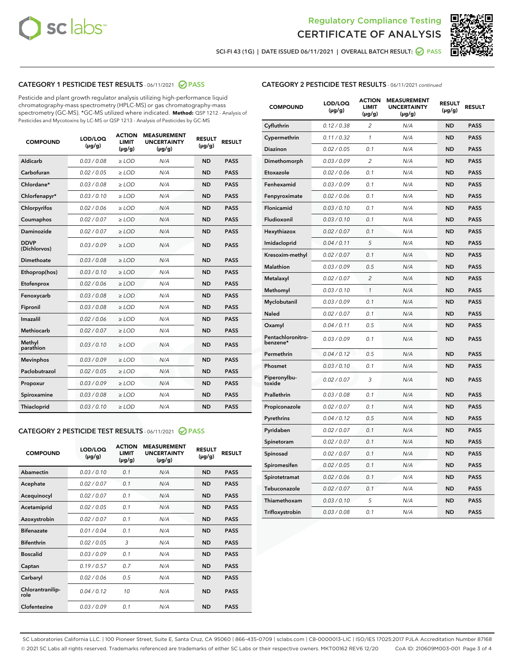



SCI-FI 43 (1G) | DATE ISSUED 06/11/2021 | OVERALL BATCH RESULT: O PASS

# CATEGORY 1 PESTICIDE TEST RESULTS - 06/11/2021 2 PASS

Pesticide and plant growth regulator analysis utilizing high-performance liquid chromatography-mass spectrometry (HPLC-MS) or gas chromatography-mass spectrometry (GC-MS). \*GC-MS utilized where indicated. **Method:** QSP 1212 - Analysis of Pesticides and Mycotoxins by LC-MS or QSP 1213 - Analysis of Pesticides by GC-MS

| <b>COMPOUND</b>             | LOD/LOQ<br>$(\mu g/g)$ | <b>ACTION</b><br><b>LIMIT</b><br>$(\mu g/g)$ | <b>MEASUREMENT</b><br><b>UNCERTAINTY</b><br>$(\mu g/g)$ | <b>RESULT</b><br>$(\mu g/g)$ | <b>RESULT</b> |
|-----------------------------|------------------------|----------------------------------------------|---------------------------------------------------------|------------------------------|---------------|
| Aldicarb                    | 0.03 / 0.08            | $\ge$ LOD                                    | N/A                                                     | <b>ND</b>                    | <b>PASS</b>   |
| Carbofuran                  | 0.02 / 0.05            | $\ge$ LOD                                    | N/A                                                     | <b>ND</b>                    | <b>PASS</b>   |
| Chlordane*                  | 0.03 / 0.08            | $\ge$ LOD                                    | N/A                                                     | <b>ND</b>                    | <b>PASS</b>   |
| Chlorfenapyr*               | 0.03/0.10              | $\ge$ LOD                                    | N/A                                                     | <b>ND</b>                    | <b>PASS</b>   |
| Chlorpyrifos                | 0.02 / 0.06            | $\ge$ LOD                                    | N/A                                                     | <b>ND</b>                    | <b>PASS</b>   |
| Coumaphos                   | 0.02 / 0.07            | $\ge$ LOD                                    | N/A                                                     | <b>ND</b>                    | <b>PASS</b>   |
| Daminozide                  | 0.02 / 0.07            | $\ge$ LOD                                    | N/A                                                     | <b>ND</b>                    | <b>PASS</b>   |
| <b>DDVP</b><br>(Dichlorvos) | 0.03/0.09              | $\ge$ LOD                                    | N/A                                                     | <b>ND</b>                    | <b>PASS</b>   |
| Dimethoate                  | 0.03/0.08              | $\ge$ LOD                                    | N/A                                                     | <b>ND</b>                    | <b>PASS</b>   |
| Ethoprop(hos)               | 0.03/0.10              | $\ge$ LOD                                    | N/A                                                     | <b>ND</b>                    | <b>PASS</b>   |
| Etofenprox                  | 0.02/0.06              | $>$ LOD                                      | N/A                                                     | <b>ND</b>                    | <b>PASS</b>   |
| Fenoxycarb                  | 0.03/0.08              | $>$ LOD                                      | N/A                                                     | <b>ND</b>                    | <b>PASS</b>   |
| Fipronil                    | 0.03/0.08              | $>$ LOD                                      | N/A                                                     | <b>ND</b>                    | <b>PASS</b>   |
| Imazalil                    | 0.02 / 0.06            | $\ge$ LOD                                    | N/A                                                     | <b>ND</b>                    | <b>PASS</b>   |
| <b>Methiocarb</b>           | 0.02 / 0.07            | $\ge$ LOD                                    | N/A                                                     | <b>ND</b>                    | <b>PASS</b>   |
| Methyl<br>parathion         | 0.03/0.10              | $\ge$ LOD                                    | N/A                                                     | <b>ND</b>                    | <b>PASS</b>   |
| <b>Mevinphos</b>            | 0.03/0.09              | $\ge$ LOD                                    | N/A                                                     | <b>ND</b>                    | <b>PASS</b>   |
| Paclobutrazol               | 0.02 / 0.05            | $\ge$ LOD                                    | N/A                                                     | <b>ND</b>                    | <b>PASS</b>   |
| Propoxur                    | 0.03/0.09              | $\ge$ LOD                                    | N/A                                                     | <b>ND</b>                    | <b>PASS</b>   |
| Spiroxamine                 | 0.03 / 0.08            | $\ge$ LOD                                    | N/A                                                     | <b>ND</b>                    | <b>PASS</b>   |
| Thiacloprid                 | 0.03/0.10              | $\ge$ LOD                                    | N/A                                                     | <b>ND</b>                    | <b>PASS</b>   |

#### CATEGORY 2 PESTICIDE TEST RESULTS - 06/11/2021 @ PASS

| <b>COMPOUND</b>          | LOD/LOO<br>$(\mu g/g)$ | <b>ACTION</b><br>LIMIT<br>$(\mu g/g)$ | <b>MEASUREMENT</b><br><b>UNCERTAINTY</b><br>$(\mu g/g)$ | <b>RESULT</b><br>$(\mu g/g)$ | <b>RESULT</b> |  |
|--------------------------|------------------------|---------------------------------------|---------------------------------------------------------|------------------------------|---------------|--|
| Abamectin                | 0.03/0.10              | 0.1                                   | N/A                                                     | <b>ND</b>                    | <b>PASS</b>   |  |
| Acephate                 | 0.02/0.07              | 0.1                                   | N/A                                                     | <b>ND</b>                    | <b>PASS</b>   |  |
| Acequinocyl              | 0.02/0.07              | 0.1                                   | N/A                                                     | <b>ND</b>                    | <b>PASS</b>   |  |
| Acetamiprid              | 0.02/0.05              | 0.1                                   | N/A                                                     | <b>ND</b>                    | <b>PASS</b>   |  |
| Azoxystrobin             | 0.02/0.07              | 0.1                                   | N/A                                                     | <b>ND</b>                    | <b>PASS</b>   |  |
| <b>Bifenazate</b>        | 0.01 / 0.04            | 0.1                                   | N/A                                                     | <b>ND</b>                    | <b>PASS</b>   |  |
| <b>Bifenthrin</b>        | 0.02/0.05              | 3                                     | N/A                                                     | <b>ND</b>                    | <b>PASS</b>   |  |
| <b>Boscalid</b>          | 0.03/0.09              | 0.1                                   | N/A                                                     | <b>ND</b>                    | <b>PASS</b>   |  |
| Captan                   | 0.19/0.57              | 0.7                                   | N/A                                                     | <b>ND</b>                    | <b>PASS</b>   |  |
| Carbaryl                 | 0.02/0.06              | 0.5                                   | N/A                                                     | <b>ND</b>                    | <b>PASS</b>   |  |
| Chlorantranilip-<br>role | 0.04/0.12              | 10                                    | N/A                                                     | <b>ND</b>                    | <b>PASS</b>   |  |
| Clofentezine             | 0.03/0.09              | 0.1                                   | N/A                                                     | <b>ND</b>                    | <b>PASS</b>   |  |

## CATEGORY 2 PESTICIDE TEST RESULTS - 06/11/2021 continued

| <b>COMPOUND</b>               | LOD/LOQ<br>(µg/g) | <b>ACTION</b><br>LIMIT<br>$(\mu g/g)$ | <b>MEASUREMENT</b><br><b>UNCERTAINTY</b><br>(µg/g) | <b>RESULT</b><br>(µg/g) | <b>RESULT</b> |
|-------------------------------|-------------------|---------------------------------------|----------------------------------------------------|-------------------------|---------------|
| Cyfluthrin                    | 0.12 / 0.38       | 2                                     | N/A                                                | ND                      | <b>PASS</b>   |
| Cypermethrin                  | 0.11 / 0.32       | 1                                     | N/A                                                | ND                      | PASS          |
| Diazinon                      | 0.02 / 0.05       | 0.1                                   | N/A                                                | ND                      | PASS          |
| Dimethomorph                  | 0.03 / 0.09       | 2                                     | N/A                                                | <b>ND</b>               | <b>PASS</b>   |
| Etoxazole                     | 0.02 / 0.06       | 0.1                                   | N/A                                                | ND                      | <b>PASS</b>   |
| Fenhexamid                    | 0.03 / 0.09       | 0.1                                   | N/A                                                | ND                      | <b>PASS</b>   |
| Fenpyroximate                 | 0.02 / 0.06       | 0.1                                   | N/A                                                | <b>ND</b>               | <b>PASS</b>   |
| Flonicamid                    | 0.03 / 0.10       | 0.1                                   | N/A                                                | <b>ND</b>               | <b>PASS</b>   |
| Fludioxonil                   | 0.03 / 0.10       | 0.1                                   | N/A                                                | <b>ND</b>               | <b>PASS</b>   |
| Hexythiazox                   | 0.02 / 0.07       | 0.1                                   | N/A                                                | <b>ND</b>               | PASS          |
| Imidacloprid                  | 0.04 / 0.11       | 5                                     | N/A                                                | <b>ND</b>               | <b>PASS</b>   |
| Kresoxim-methyl               | 0.02 / 0.07       | 0.1                                   | N/A                                                | ND                      | <b>PASS</b>   |
| Malathion                     | 0.03 / 0.09       | 0.5                                   | N/A                                                | <b>ND</b>               | <b>PASS</b>   |
| Metalaxyl                     | 0.02 / 0.07       | $\overline{c}$                        | N/A                                                | <b>ND</b>               | <b>PASS</b>   |
| Methomyl                      | 0.03 / 0.10       | 1                                     | N/A                                                | ND                      | <b>PASS</b>   |
| Myclobutanil                  | 0.03/0.09         | 0.1                                   | N/A                                                | <b>ND</b>               | <b>PASS</b>   |
| Naled                         | 0.02 / 0.07       | 0.1                                   | N/A                                                | ND                      | <b>PASS</b>   |
| Oxamyl                        | 0.04 / 0.11       | 0.5                                   | N/A                                                | ND                      | <b>PASS</b>   |
| Pentachloronitro-<br>benzene* | 0.03 / 0.09       | 0.1                                   | N/A                                                | ND                      | <b>PASS</b>   |
| Permethrin                    | 0.04/0.12         | 0.5                                   | N/A                                                | <b>ND</b>               | <b>PASS</b>   |
| Phosmet                       | 0.03 / 0.10       | 0.1                                   | N/A                                                | ND                      | <b>PASS</b>   |
| Piperonylbu-<br>toxide        | 0.02 / 0.07       | 3                                     | N/A                                                | <b>ND</b>               | <b>PASS</b>   |
| Prallethrin                   | 0.03 / 0.08       | 0.1                                   | N/A                                                | <b>ND</b>               | <b>PASS</b>   |
| Propiconazole                 | 0.02 / 0.07       | 0.1                                   | N/A                                                | ND                      | <b>PASS</b>   |
| Pyrethrins                    | 0.04 / 0.12       | 0.5                                   | N/A                                                | ND                      | <b>PASS</b>   |
| Pyridaben                     | 0.02 / 0.07       | 0.1                                   | N/A                                                | <b>ND</b>               | <b>PASS</b>   |
| Spinetoram                    | 0.02 / 0.07       | 0.1                                   | N/A                                                | ND                      | <b>PASS</b>   |
| Spinosad                      | 0.02 / 0.07       | 0.1                                   | N/A                                                | ND                      | <b>PASS</b>   |
| Spiromesifen                  | 0.02 / 0.05       | 0.1                                   | N/A                                                | <b>ND</b>               | <b>PASS</b>   |
| Spirotetramat                 | 0.02 / 0.06       | 0.1                                   | N/A                                                | ND                      | <b>PASS</b>   |
| Tebuconazole                  | 0.02 / 0.07       | 0.1                                   | N/A                                                | ND                      | <b>PASS</b>   |
| Thiamethoxam                  | 0.03 / 0.10       | 5                                     | N/A                                                | <b>ND</b>               | <b>PASS</b>   |
| Trifloxystrobin               | 0.03 / 0.08       | 0.1                                   | N/A                                                | <b>ND</b>               | <b>PASS</b>   |

SC Laboratories California LLC. | 100 Pioneer Street, Suite E, Santa Cruz, CA 95060 | 866-435-0709 | sclabs.com | C8-0000013-LIC | ISO/IES 17025:2017 PJLA Accreditation Number 87168 © 2021 SC Labs all rights reserved. Trademarks referenced are trademarks of either SC Labs or their respective owners. MKT00162 REV6 12/20 CoA ID: 210609M003-001 Page 3 of 4